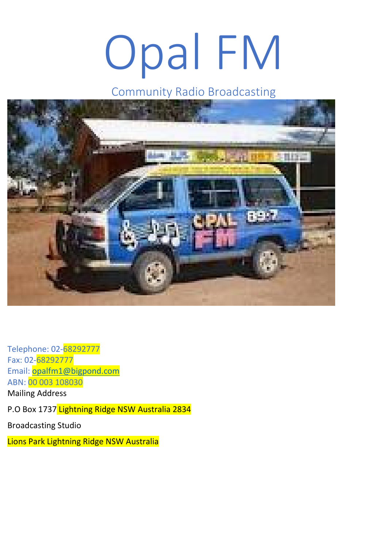# Opal FM

Community Radio Broadcasting



Telephone: 02-68292777 Fax: 02-68292777 Email: opalfm1@bigpond.com ABN: 00 003 108030 Mailing Address

P.O Box 1737 Lightning Ridge NSW Australia 2834

Broadcasting Studio

Lions Park Lightning Ridge NSW Australia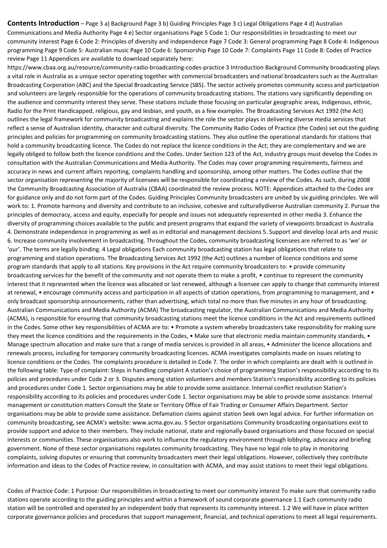**Contents Introduction** – Page 3 a) Background Page 3 b) Guiding Principles Page 3 c) Legal Obligations Page 4 d) Australian Communications and Media Authority Page 4 e) Sector organisations Page 5 Code 1: Our responsibilities in broadcasting to meet our community interest Page 6 Code 2: Principles of diversity and independence Page 7 Code 3: General programming Page 8 Code 4: Indigenous programming Page 9 Code 5: Australian music Page 10 Code 6: Sponsorship Page 10 Code 7: Complaints Page 11 Code 8: Codes of Practice review Page 11 Appendices are available to download separately here:

https://www.cbaa.org.au/resource/community-radio-broadcasting-codes-practice 3 Introduction Background Community broadcasting plays a vital role in Australia as a unique sector operating together with commercial broadcasters and national broadcasters such as the Australian Broadcasting Corporation (ABC) and the Special Broadcasting Service (SBS). The sector actively promotes community access and participation and volunteers are largely responsible for the operations of community broadcasting stations. The stations vary significantly depending on the audience and community interest they serve. These stations include those focusing on particular geographic areas, Indigenous, ethnic, Radio for the Print Handicapped, religious, gay and lesbian, and youth, as a few examples. The Broadcasting Services Act 1992 (the Act) outlines the legal framework for community broadcasting and explains the role the sector plays in delivering diverse media services that reflect a sense of Australian identity, character and cultural diversity. The Community Radio Codes of Practice (the Codes) set out the guiding principles and policies for programming on community broadcasting stations. They also outline the operational standards for stations that hold a community broadcasting licence. The Codes do not replace the licence conditions in the Act; they are complementary and we are legally obliged to follow both the licence conditions and the Codes. Under Section 123 of the Act, industry groups must develop the Codes in consultation with the Australian Communications and Media Authority. The Codes may cover programming requirements, fairness and accuracy in news and current affairs reporting, complaints handling and sponsorship, among other matters. The Codes outline that the sector organisation representing the majority of licensees will be responsible for coordinating a review of the Codes. As such, during 2008 the Community Broadcasting Association of Australia (CBAA) coordinated the review process. NOTE: Appendices attached to the Codes are for guidance only and do not form part of the Codes. Guiding Principles Community broadcasters are united by six guiding principles. We will work to: 1. Promote harmony and diversity and contribute to an inclusive, cohesive and culturallydiverse Australian community 2. Pursue the principles of democracy, access and equity, especially for people and issues not adequately represented in other media 3. Enhance the diversity of programming choices available to the public and present programs that expand the variety of viewpoints broadcast in Australia 4. Demonstrate independence in programming as well as in editorial and management decisions 5. Support and develop local arts and music 6. Increase community involvement in broadcasting. Throughout the Codes, community broadcasting licensees are referred to as 'we' or 'our'. The terms are legally binding. 4 Legal obligations Each community broadcasting station has legal obligations that relate to programming and station operations. The Broadcasting Services Act 1992 (the Act) outlines a number of licence conditions and some program standards that apply to all stations. Key provisions in the Act require community broadcasters to: • provide community broadcasting services for the benefit of the community and not operate them to make a profit, • continue to represent the community interest that it represented when the licence was allocated or last renewed, although a licensee can apply to change that community interest at renewal, • encourage community access and participation in all aspects of station operations, from programming to management, and • only broadcast sponsorship announcements, rather than advertising, which total no more than five minutes in any hour of broadcasting. Australian Communications and Media Authority (ACMA) The broadcasting regulator, the Australian Communications and Media Authority (ACMA), is responsible for ensuring that community broadcasting stations meet the licence conditions in the Act and requirements outlined in the Codes. Some other key responsibilities of ACMA are to: • Promote a system whereby broadcasters take responsibility for making sure they meet the licence conditions and the requirements in the Codes, • Make sure that electronic media maintain community standards, • Manage spectrum allocation and make sure that a range of media services is provided in all areas, • Administer the licence allocations and renewals process, including for temporary community broadcasting licences. ACMA investigates complaints made on issues relating to licence conditions or the Codes. The complaints procedure is detailed in Code 7. The order in which complaints are dealt with is outlined in the following table: Type of complaint: Steps in handling complaint A station's choice of programming Station's responsibility according to its policies and procedures under Code 2 or 3. Disputes among station volunteers and members Station's responsibility according to its policies and procedures under Code 1. Sector organisations may be able to provide some assistance. Internal conflict resolution Station's responsibility according to its policies and procedures under Code 1. Sector organisations may be able to provide some assistance. Internal management or constitution matters Consult the State or Territory Office of Fair Trading or Consumer Affairs Department. Sector organisations may be able to provide some assistance. Defamation claims against station Seek own legal advice. For further information on community broadcasting, see ACMA's website: www.acma.gov.au. 5 Sector organisations Community broadcasting organisations exist to provide support and advice to their members. They include national, state and regionally-based organisations and those focused on special interests or communities. These organisations also work to influence the regulatory environment through lobbying, advocacy and briefing government. None of these sector organisations regulates community broadcasting. They have no legal role to play in monitoring complaints, solving disputes or ensuring that community broadcasters meet their legal obligations. However, collectively they contribute information and ideas to the Codes of Practice review, in consultation with ACMA, and may assist stations to meet their legal obligations.

Codes of Practice Code: 1 Purpose: Our responsibilities in broadcasting to meet our community interest To make sure that community radio stations operate according to the guiding principles and within a framework of sound corporate governance 1.1 Each community radio station will be controlled and operated by an independent body that represents its community interest. 1.2 We will have in place written corporate governance policies and procedures that support management, financial, and technical operations to meet all legal requirements.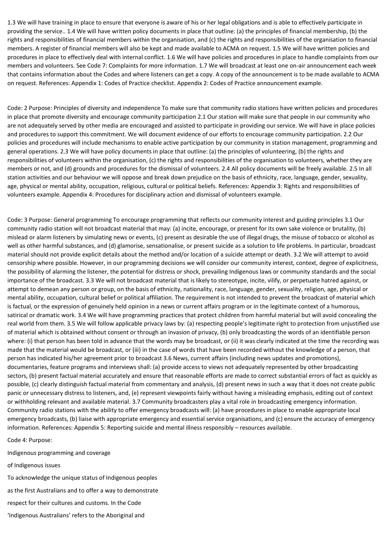1.3 We will have training in place to ensure that everyone is aware of his or her legal obligations and is able to effectively participate in providing the service.. 1.4 We will have written policy documents in place that outline: (a) the principles of financial membership, (b) the rights and responsibilities of financial members within the organisation, and (c) the rights and responsibilities of the organisation to financial members. A register of financial members will also be kept and made available to ACMA on request. 1.5 We will have written policies and procedures in place to effectively deal with internal conflict. 1.6 We will have policies and procedures in place to handle complaints from our members and volunteers. See Code 7: Complaints for more information. 1.7 We will broadcast at least one on-air announcement each week that contains information about the Codes and where listeners can get a copy. A copy of the announcement is to be made available to ACMA on request. References: Appendix 1: Codes of Practice checklist. Appendix 2: Codes of Practice announcement example.

Code: 2 Purpose: Principles of diversity and independence To make sure that community radio stations have written policies and procedures in place that promote diversity and encourage community participation 2.1 Our station will make sure that people in our community who are not adequately served by other media are encouraged and assisted to participate in providing our service. We will have in place policies and procedures to support this commitment. We will document evidence of our efforts to encourage community participation. 2.2 Our policies and procedures will include mechanisms to enable active participation by our community in station management, programming and general operations. 2.3 We will have policy documents in place that outline: (a) the principles of volunteering, (b) the rights and responsibilities of volunteers within the organisation, (c) the rights and responsibilities of the organisation to volunteers, whether they are members or not, and (d) grounds and procedures for the dismissal of volunteers. 2.4 All policy documents will be freely available. 2.5 In all station activities and our behaviour we will oppose and break down prejudice on the basis of ethnicity, race, language, gender, sexuality, age, physical or mental ability, occupation, religious, cultural or political beliefs. References: Appendix 3: Rights and responsibilities of volunteers example. Appendix 4: Procedures for disciplinary action and dismissal of volunteers example.

Code: 3 Purpose: General programming To encourage programming that reflects our community interest and guiding principles 3.1 Our community radio station will not broadcast material that may: (a) incite, encourage, or present for its own sake violence or brutality, (b) mislead or alarm listeners by simulating news or events, (c) present as desirable the use of illegal drugs, the misuse of tobacco or alcohol as well as other harmful substances, and (d) glamorise, sensationalise, or present suicide as a solution to life problems. In particular, broadcast material should not provide explicit details about the method and/or location of a suicide attempt or death. 3.2 We will attempt to avoid censorship where possible. However, in our programming decisions we will consider our community interest, context, degree of explicitness, the possibility of alarming the listener, the potential for distress or shock, prevailing Indigenous laws or community standards and the social importance of the broadcast. 3.3 We will not broadcast material that is likely to stereotype, incite, vilify, or perpetuate hatred against, or attempt to demean any person or group, on the basis of ethnicity, nationality, race, language, gender, sexuality, religion, age, physical or mental ability, occupation, cultural belief or political affiliation. The requirement is not intended to prevent the broadcast of material which is factual, or the expression of genuinely held opinion in a news or current affairs program or in the legitimate context of a humorous, satirical or dramatic work. 3.4 We will have programming practices that protect children from harmful material but will avoid concealing the real world from them. 3.5 We will follow applicable privacy laws by: (a) respecting people's legitimate right to protection from unjustified use of material which is obtained without consent or through an invasion of privacy, (b) only broadcasting the words of an identifiable person where: (i) that person has been told in advance that the words may be broadcast, or (ii) it was clearly indicated at the time the recording was made that the material would be broadcast, or (iii) in the case of words that have been recorded without the knowledge of a person, that person has indicated his/her agreement prior to broadcast 3.6 News, current affairs (including news updates and promotions), documentaries, feature programs and interviews shall: (a) provide access to views not adequately represented by other broadcasting sectors, (b) present factual material accurately and ensure that reasonable efforts are made to correct substantial errors of fact as quickly as possible, (c) clearly distinguish factual material from commentary and analysis, (d) present news in such a way that it does not create public panic or unnecessary distress to listeners, and, (e) represent viewpoints fairly without having a misleading emphasis, editing out of context or withholding relevant and available material. 3.7 Community broadcasters play a vital role in broadcasting emergency information. Community radio stations with the ability to offer emergency broadcasts will: (a) have procedures in place to enable appropriate local emergency broadcasts, (b) liaise with appropriate emergency and essential service organisations, and (c) ensure the accuracy of emergency information. References: Appendix 5: Reporting suicide and mental illness responsibly – resources available.

Code 4: Purpose:

Indigenous programming and coverage

of Indigenous issues

To acknowledge the unique status of Indigenous peoples as the first Australians and to offer a way to demonstrate respect for their cultures and customs. In the Code 'Indigenous Australians' refers to the Aboriginal and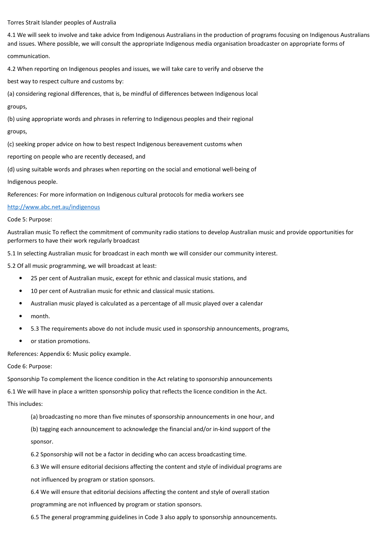Torres Strait Islander peoples of Australia

4.1 We will seek to involve and take advice from Indigenous Australians in the production of programs focusing on Indigenous Australians and issues. Where possible, we will consult the appropriate Indigenous media organisation broadcaster on appropriate forms of communication.

4.2 When reporting on Indigenous peoples and issues, we will take care to verify and observe the

best way to respect culture and customs by:

(a) considering regional differences, that is, be mindful of differences between Indigenous local groups,

(b) using appropriate words and phrases in referring to Indigenous peoples and their regional

groups,

(c) seeking proper advice on how to best respect Indigenous bereavement customs when

reporting on people who are recently deceased, and

(d) using suitable words and phrases when reporting on the social and emotional well-being of

# Indigenous people.

References: For more information on Indigenous cultural protocols for media workers see

# http://www.abc.net.au/indigenous

Code 5: Purpose:

Australian music To reflect the commitment of community radio stations to develop Australian music and provide opportunities for performers to have their work regularly broadcast

5.1 In selecting Australian music for broadcast in each month we will consider our community interest.

5.2 Of all music programming, we will broadcast at least:

- 25 per cent of Australian music, except for ethnic and classical music stations, and
- 10 per cent of Australian music for ethnic and classical music stations.
- Australian music played is calculated as a percentage of all music played over a calendar
- month.
- 5.3 The requirements above do not include music used in sponsorship announcements, programs,
- or station promotions.

References: Appendix 6: Music policy example.

## Code 6: Purpose:

Sponsorship To complement the licence condition in the Act relating to sponsorship announcements

6.1 We will have in place a written sponsorship policy that reflects the licence condition in the Act. This includes:

(a) broadcasting no more than five minutes of sponsorship announcements in one hour, and

(b) tagging each announcement to acknowledge the financial and/or in-kind support of the sponsor.

6.2 Sponsorship will not be a factor in deciding who can access broadcasting time.

6.3 We will ensure editorial decisions affecting the content and style of individual programs are

not influenced by program or station sponsors.

6.4 We will ensure that editorial decisions affecting the content and style of overall station programming are not influenced by program or station sponsors.

6.5 The general programming guidelines in Code 3 also apply to sponsorship announcements.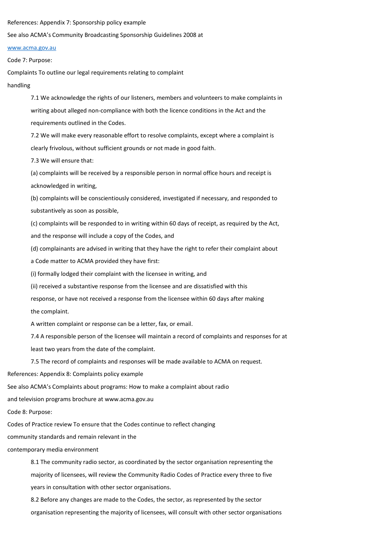### References: Appendix 7: Sponsorship policy example

#### See also ACMA's Community Broadcasting Sponsorship Guidelines 2008 at

# www.acma.gov.au

# Code 7: Purpose:

Complaints To outline our legal requirements relating to complaint

#### handling

7.1 We acknowledge the rights of our listeners, members and volunteers to make complaints in writing about alleged non-compliance with both the licence conditions in the Act and the requirements outlined in the Codes.

7.2 We will make every reasonable effort to resolve complaints, except where a complaint is clearly frivolous, without sufficient grounds or not made in good faith.

7.3 We will ensure that:

(a) complaints will be received by a responsible person in normal office hours and receipt is acknowledged in writing,

(b) complaints will be conscientiously considered, investigated if necessary, and responded to substantively as soon as possible,

(c) complaints will be responded to in writing within 60 days of receipt, as required by the Act, and the response will include a copy of the Codes, and

(d) complainants are advised in writing that they have the right to refer their complaint about

a Code matter to ACMA provided they have first:

(i) formally lodged their complaint with the licensee in writing, and

(ii) received a substantive response from the licensee and are dissatisfied with this

response, or have not received a response from the licensee within 60 days after making the complaint.

A written complaint or response can be a letter, fax, or email.

7.4 A responsible person of the licensee will maintain a record of complaints and responses for at

least two years from the date of the complaint.

7.5 The record of complaints and responses will be made available to ACMA on request.

References: Appendix 8: Complaints policy example

See also ACMA's Complaints about programs: How to make a complaint about radio

and television programs brochure at www.acma.gov.au

Code 8: Purpose:

Codes of Practice review To ensure that the Codes continue to reflect changing

community standards and remain relevant in the

#### contemporary media environment

8.1 The community radio sector, as coordinated by the sector organisation representing the

majority of licensees, will review the Community Radio Codes of Practice every three to five

years in consultation with other sector organisations.

8.2 Before any changes are made to the Codes, the sector, as represented by the sector organisation representing the majority of licensees, will consult with other sector organisations